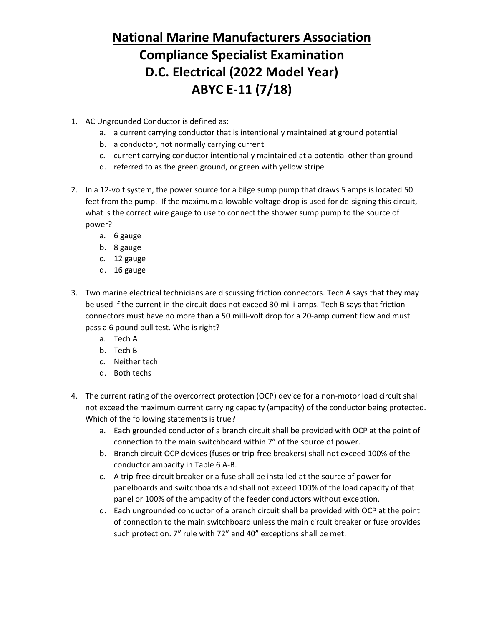- 1. AC Ungrounded Conductor is defined as:
	- a. a current carrying conductor that is intentionally maintained at ground potential
	- b. a conductor, not normally carrying current
	- c. current carrying conductor intentionally maintained at a potential other than ground
	- d. referred to as the green ground, or green with yellow stripe
- 2. In a 12-volt system, the power source for a bilge sump pump that draws 5 amps is located 50 feet from the pump. If the maximum allowable voltage drop is used for de-signing this circuit, what is the correct wire gauge to use to connect the shower sump pump to the source of power?
	- a. 6 gauge
	- b. 8 gauge
	- c. 12 gauge
	- d. 16 gauge
- 3. Two marine electrical technicians are discussing friction connectors. Tech A says that they may be used if the current in the circuit does not exceed 30 milli-amps. Tech B says that friction connectors must have no more than a 50 milli-volt drop for a 20-amp current flow and must pass a 6 pound pull test. Who is right?
	- a. Tech A
	- b. Tech B
	- c. Neither tech
	- d. Both techs
- 4. The current rating of the overcorrect protection (OCP) device for a non-motor load circuit shall not exceed the maximum current carrying capacity (ampacity) of the conductor being protected. Which of the following statements is true?
	- a. Each grounded conductor of a branch circuit shall be provided with OCP at the point of connection to the main switchboard within 7" of the source of power.
	- b. Branch circuit OCP devices (fuses or trip-free breakers) shall not exceed 100% of the conductor ampacity in Table 6 A-B.
	- c. A trip-free circuit breaker or a fuse shall be installed at the source of power for panelboards and switchboards and shall not exceed 100% of the load capacity of that panel or 100% of the ampacity of the feeder conductors without exception.
	- d. Each ungrounded conductor of a branch circuit shall be provided with OCP at the point of connection to the main switchboard unless the main circuit breaker or fuse provides such protection. 7" rule with 72" and 40" exceptions shall be met.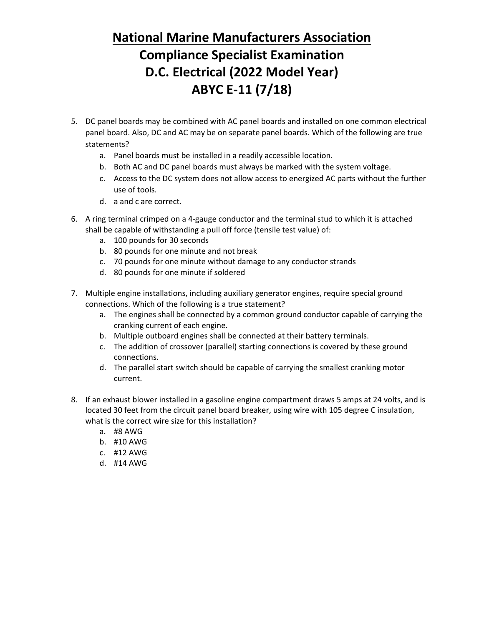- 5. DC panel boards may be combined with AC panel boards and installed on one common electrical panel board. Also, DC and AC may be on separate panel boards. Which of the following are true statements?
	- a. Panel boards must be installed in a readily accessible location.
	- b. Both AC and DC panel boards must always be marked with the system voltage.
	- c. Access to the DC system does not allow access to energized AC parts without the further use of tools.
	- d. a and c are correct.
- 6. A ring terminal crimped on a 4-gauge conductor and the terminal stud to which it is attached shall be capable of withstanding a pull off force (tensile test value) of:
	- a. 100 pounds for 30 seconds
	- b. 80 pounds for one minute and not break
	- c. 70 pounds for one minute without damage to any conductor strands
	- d. 80 pounds for one minute if soldered
- 7. Multiple engine installations, including auxiliary generator engines, require special ground connections. Which of the following is a true statement?
	- a. The engines shall be connected by a common ground conductor capable of carrying the cranking current of each engine.
	- b. Multiple outboard engines shall be connected at their battery terminals.
	- c. The addition of crossover (parallel) starting connections is covered by these ground connections.
	- d. The parallel start switch should be capable of carrying the smallest cranking motor current.
- 8. If an exhaust blower installed in a gasoline engine compartment draws 5 amps at 24 volts, and is located 30 feet from the circuit panel board breaker, using wire with 105 degree C insulation, what is the correct wire size for this installation?
	- a. #8 AWG
	- b. #10 AWG
	- c. #12 AWG
	- d. #14 AWG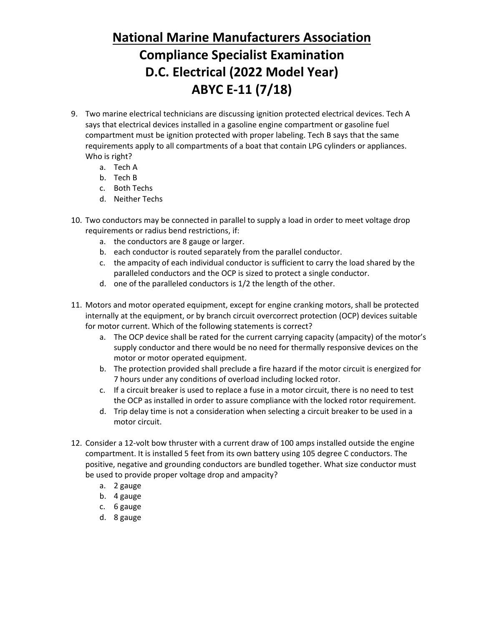- 9. Two marine electrical technicians are discussing ignition protected electrical devices. Tech A says that electrical devices installed in a gasoline engine compartment or gasoline fuel compartment must be ignition protected with proper labeling. Tech B says that the same requirements apply to all compartments of a boat that contain LPG cylinders or appliances. Who is right?
	- a. Tech A
	- b. Tech B
	- c. Both Techs
	- d. Neither Techs
- 10. Two conductors may be connected in parallel to supply a load in order to meet voltage drop requirements or radius bend restrictions, if:
	- a. the conductors are 8 gauge or larger.
	- b. each conductor is routed separately from the parallel conductor.
	- c. the ampacity of each individual conductor is sufficient to carry the load shared by the paralleled conductors and the OCP is sized to protect a single conductor.
	- d. one of the paralleled conductors is 1/2 the length of the other.
- 11. Motors and motor operated equipment, except for engine cranking motors, shall be protected internally at the equipment, or by branch circuit overcorrect protection (OCP) devices suitable for motor current. Which of the following statements is correct?
	- a. The OCP device shall be rated for the current carrying capacity (ampacity) of the motor's supply conductor and there would be no need for thermally responsive devices on the motor or motor operated equipment.
	- b. The protection provided shall preclude a fire hazard if the motor circuit is energized for 7 hours under any conditions of overload including locked rotor.
	- c. If a circuit breaker is used to replace a fuse in a motor circuit, there is no need to test the OCP as installed in order to assure compliance with the locked rotor requirement.
	- d. Trip delay time is not a consideration when selecting a circuit breaker to be used in a motor circuit.
- 12. Consider a 12-volt bow thruster with a current draw of 100 amps installed outside the engine compartment. It is installed 5 feet from its own battery using 105 degree C conductors. The positive, negative and grounding conductors are bundled together. What size conductor must be used to provide proper voltage drop and ampacity?
	- a. 2 gauge
	- b. 4 gauge
	- c. 6 gauge
	- d. 8 gauge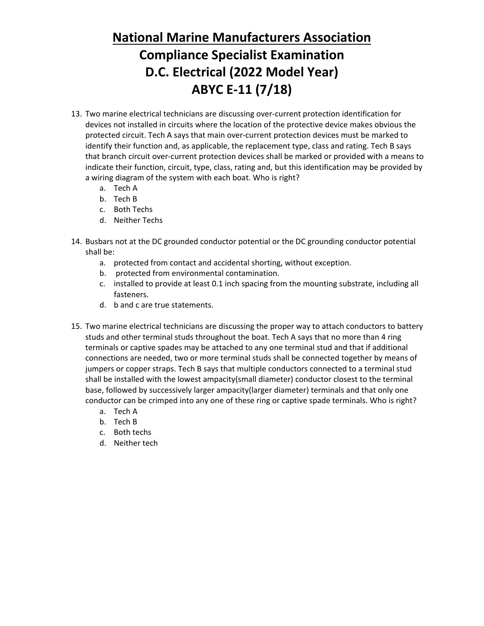- 13. Two marine electrical technicians are discussing over-current protection identification for devices not installed in circuits where the location of the protective device makes obvious the protected circuit. Tech A says that main over-current protection devices must be marked to identify their function and, as applicable, the replacement type, class and rating. Tech B says that branch circuit over-current protection devices shall be marked or provided with a means to indicate their function, circuit, type, class, rating and, but this identification may be provided by a wiring diagram of the system with each boat. Who is right?
	- a. Tech A
	- b. Tech B
	- c. Both Techs
	- d. Neither Techs
- 14. Busbars not at the DC grounded conductor potential or the DC grounding conductor potential shall be:
	- a. protected from contact and accidental shorting, without exception.
	- b. protected from environmental contamination.
	- c. installed to provide at least 0.1 inch spacing from the mounting substrate, including all fasteners.
	- d. b and c are true statements.
- 15. Two marine electrical technicians are discussing the proper way to attach conductors to battery studs and other terminal studs throughout the boat. Tech A says that no more than 4 ring terminals or captive spades may be attached to any one terminal stud and that if additional connections are needed, two or more terminal studs shall be connected together by means of jumpers or copper straps. Tech B says that multiple conductors connected to a terminal stud shall be installed with the lowest ampacity(small diameter) conductor closest to the terminal base, followed by successively larger ampacity(larger diameter) terminals and that only one conductor can be crimped into any one of these ring or captive spade terminals. Who is right?
	- a. Tech A
	- b. Tech B
	- c. Both techs
	- d. Neither tech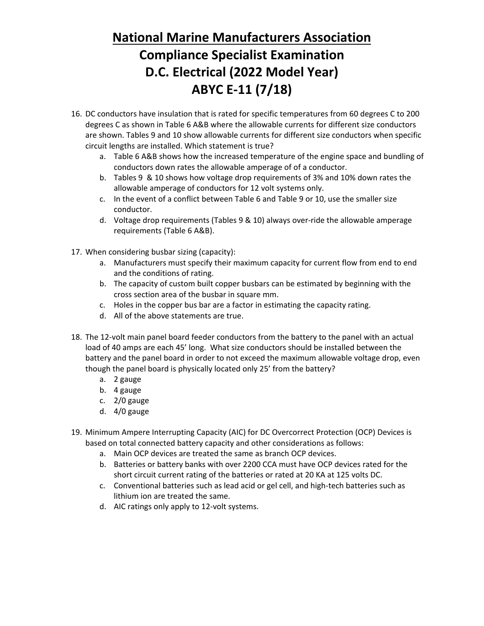- 16. DC conductors have insulation that is rated for specific temperatures from 60 degrees C to 200 degrees C as shown in Table 6 A&B where the allowable currents for different size conductors are shown. Tables 9 and 10 show allowable currents for different size conductors when specific circuit lengths are installed. Which statement is true?
	- a. Table 6 A&B shows how the increased temperature of the engine space and bundling of conductors down rates the allowable amperage of of a conductor.
	- b. Tables 9 & 10 shows how voltage drop requirements of 3% and 10% down rates the allowable amperage of conductors for 12 volt systems only.
	- c. In the event of a conflict between Table 6 and Table 9 or 10, use the smaller size conductor.
	- d. Voltage drop requirements (Tables 9 & 10) always over-ride the allowable amperage requirements (Table 6 A&B).
- 17. When considering busbar sizing (capacity):
	- a. Manufacturers must specify their maximum capacity for current flow from end to end and the conditions of rating.
	- b. The capacity of custom built copper busbars can be estimated by beginning with the cross section area of the busbar in square mm.
	- c. Holes in the copper bus bar are a factor in estimating the capacity rating.
	- d. All of the above statements are true.
- 18. The 12-volt main panel board feeder conductors from the battery to the panel with an actual load of 40 amps are each 45' long. What size conductors should be installed between the battery and the panel board in order to not exceed the maximum allowable voltage drop, even though the panel board is physically located only 25' from the battery?
	- a. 2 gauge
	- b. 4 gauge
	- c. 2/0 gauge
	- d. 4/0 gauge
- 19. Minimum Ampere Interrupting Capacity (AIC) for DC Overcorrect Protection (OCP) Devices is based on total connected battery capacity and other considerations as follows:
	- a. Main OCP devices are treated the same as branch OCP devices.
	- b. Batteries or battery banks with over 2200 CCA must have OCP devices rated for the short circuit current rating of the batteries or rated at 20 KA at 125 volts DC.
	- c. Conventional batteries such as lead acid or gel cell, and high-tech batteries such as lithium ion are treated the same.
	- d. AIC ratings only apply to 12-volt systems.